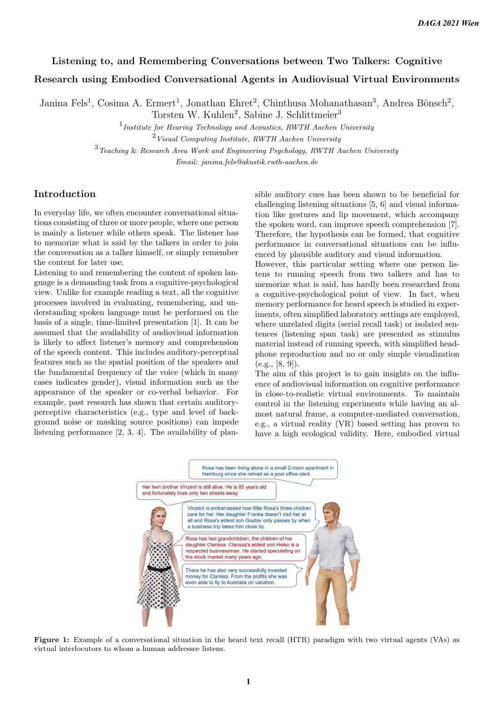# Listening to, and Remembering Conversations between Two Talkers: Cognitive Research using Embodied Conversational Agents in Audiovisual Virtual Environments

Janina Fels<sup>1</sup>, Cosima A. Ermert<sup>1</sup>, Jonathan Ehret<sup>2</sup>, Chinthusa Mohanathasan<sup>3</sup>, Andrea Bönsch<sup>2</sup>,

Torsten W. Kuhlen<sup>2</sup>, Sabine J. Schlittmeier<sup>3</sup>

1 *Institute for Hearing Technology and Acoustics, RWTH Aachen University* <sup>2</sup>*Visual Computing Institute, RWTH Aachen University*

<sup>3</sup>*Teaching* & *Research Area Work and Engineering Psychology, RWTH Aachen University*

*Email: janina.fels@akustik.rwth-aachen.de*

### Introduction

In everyday life, we often encounter conversational situations consisting of three or more people, where one person is mainly a listener while others speak. The listener has to memorize what is said by the talkers in order to join the conversation as a talker himself, or simply remember the content for later use.

Listening to and remembering the content of spoken language is a demanding task from a cognitive-psychological view. Unlike for example reading a text, all the cognitive processes involved in evaluating, remembering, and understanding spoken language must be performed on the basis of a single, time-limited presentation [1]. It can be assumed that the availability of audiovisual information is likely to affect listener's memory and comprehension of the speech content. This includes auditory-perceptual features such as the spatial position of the speakers and the fundamental frequency of the voice (which in many cases indicates gender), visual information such as the appearance of the speaker or co-verbal behavior. For example, past research has shown that certain auditoryperceptive characteristics (e.g., type and level of background noise or masking source positions) can impede listening performance [2, 3, 4]. The availability of plausible auditory cues has been shown to be beneficial for challenging listening situations [5, 6] and visual information like gestures and lip movement, which accompany the spoken word, can improve speech comprehension [7]. Therefore, the hypothesis can be formed, that cognitive performance in conversational situations can be influenced by plausible auditory and visual information.

However, this particular setting where one person listens to running speech from two talkers and has to memorize what is said, has hardly been researched from a cognitive-psychological point of view. In fact, when memory performance for heard speech is studied in experiments, often simplified laboratory settings are employed, where unrelated digits (serial recall task) or isolated sentences (listening span task) are presented as stimulus material instead of running speech, with simplified headphone reproduction and no or only simple visualization  $(e.g., [8, 9]).$ 

The aim of this project is to gain insights on the influence of audiovisual information on cognitive performance in close-to-realistic virtual environments. To maintain control in the listening experiments while having an almost natural frame, a computer-mediated conversation, e.g., a virtual reality (VR) based setting has proven to have a high ecological validity. Here, embodied virtual



Figure 1: Example of a conversational situation in the heard text recall (HTR) paradigm with two virtual agents (VAs) as virtual interlocutors to whom a human addressee listens.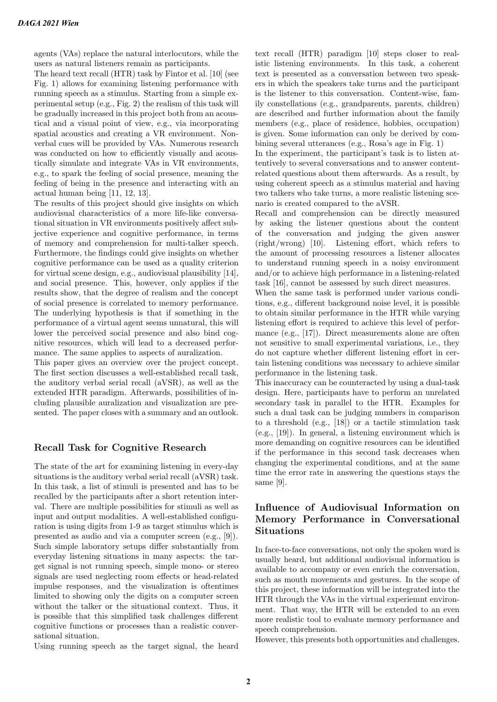agents (VAs) replace the natural interlocutors, while the users as natural listeners remain as participants.

The heard text recall (HTR) task by Fintor et al. [10] (see Fig. 1) allows for examining listening performance with running speech as a stimulus. Starting from a simple experimental setup (e.g., Fig. 2) the realism of this task will be gradually increased in this project both from an acoustical and a visual point of view, e.g., via incorporating spatial acoustics and creating a VR environment. Nonverbal cues will be provided by VAs. Numerous research was conducted on how to efficiently visually and acoustically simulate and integrate VAs in VR environments, e.g., to spark the feeling of social presence, meaning the feeling of being in the presence and interacting with an actual human being [11, 12, 13].

The results of this project should give insights on which audiovisual characteristics of a more life-like conversational situation in VR environments positively affect subjective experience and cognitive performance, in terms of memory and comprehension for multi-talker speech. Furthermore, the findings could give insights on whether cognitive performance can be used as a quality criterion for virtual scene design, e.g., audiovisual plausibility [14], and social presence. This, however, only applies if the results show, that the degree of realism and the concept of social presence is correlated to memory performance. The underlying hypothesis is that if something in the performance of a virtual agent seems unnatural, this will lower the perceived social presence and also bind cognitive resources, which will lead to a decreased performance. The same applies to aspects of auralization.

This paper gives an overview over the project concept. The first section discusses a well-established recall task, the auditory verbal serial recall (aVSR), as well as the extended HTR paradigm. Afterwards, possibilities of including plausible auralization and visualization are presented. The paper closes with a summary and an outlook.

## Recall Task for Cognitive Research

The state of the art for examining listening in every-day situations is the auditory verbal serial recall (aVSR) task. In this task, a list of stimuli is presented and has to be recalled by the participants after a short retention interval. There are multiple possibilities for stimuli as well as input and output modalities. A well-established configuration is using digits from 1-9 as target stimulus which is presented as audio and via a computer screen (e.g., [9]). Such simple laboratory setups differ substantially from everyday listening situations in many aspects: the target signal is not running speech, simple mono- or stereo signals are used neglecting room effects or head-related impulse responses, and the visualization is oftentimes limited to showing only the digits on a computer screen without the talker or the situational context. Thus, it is possible that this simplified task challenges different cognitive functions or processes than a realistic conversational situation.

Using running speech as the target signal, the heard

text recall (HTR) paradigm [10] steps closer to realistic listening environments. In this task, a coherent text is presented as a conversation between two speakers in which the speakers take turns and the participant is the listener to this conversation. Content-wise, family constellations (e.g., grandparents, parents, children) are described and further information about the family members (e.g., place of residence, hobbies, occupation) is given. Some information can only be derived by combining several utterances (e.g., Rosa's age in Fig. 1)

In the experiment, the participant's task is to listen attentively to several conversations and to answer contentrelated questions about them afterwards. As a result, by using coherent speech as a stimulus material and having two talkers who take turns, a more realistic listening scenario is created compared to the aVSR.

Recall and comprehension can be directly measured by asking the listener questions about the content of the conversation and judging the given answer (right/wrong) [10]. Listening effort, which refers to the amount of processing resources a listener allocates to understand running speech in a noisy environment and/or to achieve high performance in a listening-related task [16], cannot be assessed by such direct measures.

When the same task is performed under various conditions, e.g., different background noise level, it is possible to obtain similar performance in the HTR while varying listening effort is required to achieve this level of performance (e.g., [17]). Direct measurements alone are often not sensitive to small experimental variations, i.e., they do not capture whether different listening effort in certain listening conditions was necessary to achieve similar performance in the listening task.

This inaccuracy can be counteracted by using a dual-task design. Here, participants have to perform an unrelated secondary task in parallel to the HTR. Examples for such a dual task can be judging numbers in comparison to a threshold (e.g., [18]) or a tactile stimulation task (e.g., [19]). In general, a listening environment which is more demanding on cognitive resources can be identified if the performance in this second task decreases when changing the experimental conditions, and at the same time the error rate in answering the questions stays the same [9].

# Influence of Audiovisual Information on Memory Performance in Conversational Situations

In face-to-face conversations, not only the spoken word is usually heard, but additional audiovisual information is available to accompany or even enrich the conversation, such as mouth movements and gestures. In the scope of this project, these information will be integrated into the HTR through the VAs in the virtual experiemnt environment. That way, the HTR will be extended to an even more realistic tool to evaluate memory performance and speech comprehension.

However, this presents both opportunities and challenges.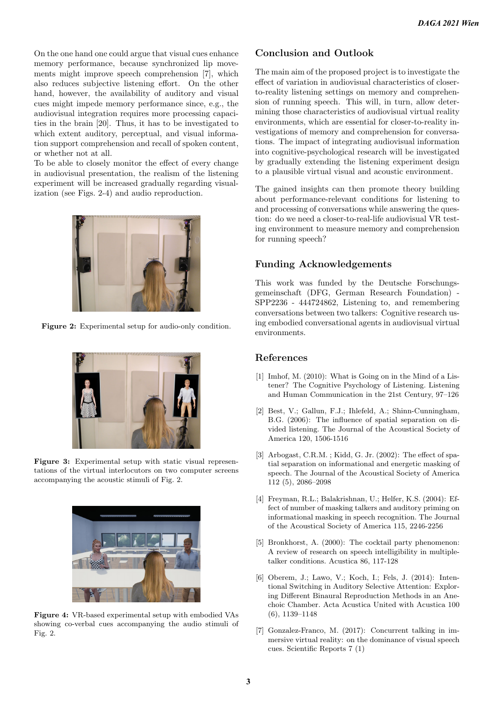On the one hand one could argue that visual cues enhance memory performance, because synchronized lip movements might improve speech comprehension [7], which also reduces subjective listening effort. On the other hand, however, the availability of auditory and visual cues might impede memory performance since, e.g., the audiovisual integration requires more processing capacities in the brain [20]. Thus, it has to be investigated to which extent auditory, perceptual, and visual information support comprehension and recall of spoken content, or whether not at all.

To be able to closely monitor the effect of every change in audiovisual presentation, the realism of the listening experiment will be increased gradually regarding visualization (see Figs. 2-4) and audio reproduction.



Figure 2: Experimental setup for audio-only condition.



Figure 3: Experimental setup with static visual representations of the virtual interlocutors on two computer screens accompanying the acoustic stimuli of Fig. 2.



Figure 4: VR-based experimental setup with embodied VAs showing co-verbal cues accompanying the audio stimuli of Fig. 2.

## Conclusion and Outlook

The main aim of the proposed project is to investigate the effect of variation in audiovisual characteristics of closerto-reality listening settings on memory and comprehension of running speech. This will, in turn, allow determining those characteristics of audiovisual virtual reality environments, which are essential for closer-to-reality investigations of memory and comprehension for conversations. The impact of integrating audiovisual information into cognitive-psychological research will be investigated by gradually extending the listening experiment design to a plausible virtual visual and acoustic environment.

The gained insights can then promote theory building about performance-relevant conditions for listening to and processing of conversations while answering the question: do we need a closer-to-real-life audiovisual VR testing environment to measure memory and comprehension for running speech?

## Funding Acknowledgements

This work was funded by the Deutsche Forschungsgemeinschaft (DFG, German Research Foundation) - SPP2236 - 444724862, Listening to, and remembering conversations between two talkers: Cognitive research using embodied conversational agents in audiovisual virtual environments.

#### References

- [1] Imhof, M. (2010): What is Going on in the Mind of a Listener? The Cognitive Psychology of Listening. Listening and Human Communication in the 21st Century, 97–126
- [2] Best, V.; Gallun, F.J.; Ihlefeld, A.; Shinn-Cunningham, B.G. (2006): The influence of spatial separation on divided listening. The Journal of the Acoustical Society of America 120, 1506-1516
- [3] Arbogast, C.R.M. ; Kidd, G. Jr. (2002): The effect of spatial separation on informational and energetic masking of speech. The Journal of the Acoustical Society of America 112 (5), 2086–2098
- [4] Freyman, R.L.; Balakrishnan, U.; Helfer, K.S. (2004): Effect of number of masking talkers and auditory priming on informational masking in speech recognition. The Journal of the Acoustical Society of America 115, 2246-2256
- [5] Bronkhorst, A. (2000): The cocktail party phenomenon: A review of research on speech intelligibility in multipletalker conditions. Acustica 86, 117-128
- [6] Oberem, J.; Lawo, V.; Koch, I.; Fels, J. (2014): Intentional Switching in Auditory Selective Attention: Exploring Different Binaural Reproduction Methods in an Anechoic Chamber. Acta Acustica United with Acustica 100 (6), 1139–1148
- [7] Gonzalez-Franco, M. (2017): Concurrent talking in immersive virtual reality: on the dominance of visual speech cues. Scientific Reports 7 (1)